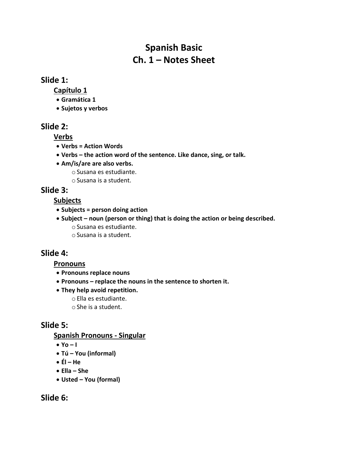# **Spanish Basic Ch. 1 – Notes Sheet**

#### **Slide 1:**

**Capítulo 1**

- **Gramática 1**
- **Sujetos y verbos**

### **Slide 2:**

**Verbs**

- **Verbs = Action Words**
- **Verbs – the action word of the sentence. Like dance, sing, or talk.**
- **Am/is/are are also verbs.**
	- oSusana es estudiante.
	- oSusana is a student.

# **Slide 3:**

### **Subjects**

- **Subjects = person doing action**
- **Subject – noun (person or thing) that is doing the action or being described.** oSusana es estudiante.
	- oSusana is a student.

# **Slide 4:**

#### **Pronouns**

- **Pronouns replace nouns**
- **Pronouns – replace the nouns in the sentence to shorten it.**
- **They help avoid repetition.**
	- oElla es estudiante.
	- oShe is a student.

# **Slide 5:**

### **Spanish Pronouns - Singular**

- **Yo – I**
- **Tú – You (informal)**
- **Él – He**
- **Ella – She**
- **Usted – You (formal)**

# **Slide 6:**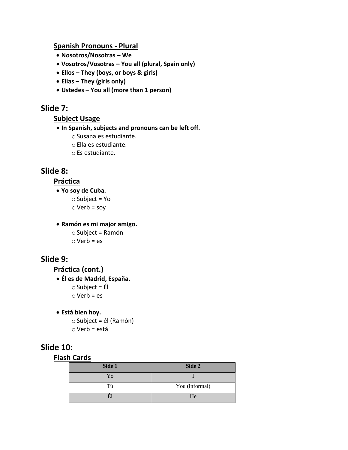#### **Spanish Pronouns - Plural**

- **Nosotros/Nosotras – We**
- **Vosotros/Vosotras – You all (plural, Spain only)**
- **Ellos – They (boys, or boys & girls)**
- **Ellas – They (girls only)**
- **Ustedes – You all (more than 1 person)**

### **Slide 7:**

#### **Subject Usage**

#### • **In Spanish, subjects and pronouns can be left off.**

- oSusana es estudiante.
- oElla es estudiante.
- oEs estudiante.

### **Slide 8:**

#### **Práctica**

• **Yo soy de Cuba.**

 $\circ$  Subject = Yo

 $\circ$  Verb = soy

#### • **Ramón es mi major amigo.**

 $\circ$  Subject = Ramón  $\circ$  Verb = es

### **Slide 9:**

**Práctica (cont.)**

```
• Él es de Madrid, España.
\circ Subject = Él
\circ Verb = es
```

```
• Está bien hoy.
```
 $\circ$  Subject = él (Ramón)  $\circ$  Verb = está

### **Slide 10:**

#### **Flash Cards**

| Side 1 | Side 2         |
|--------|----------------|
| Yo     |                |
| Tú     | You (informal) |
|        | He             |